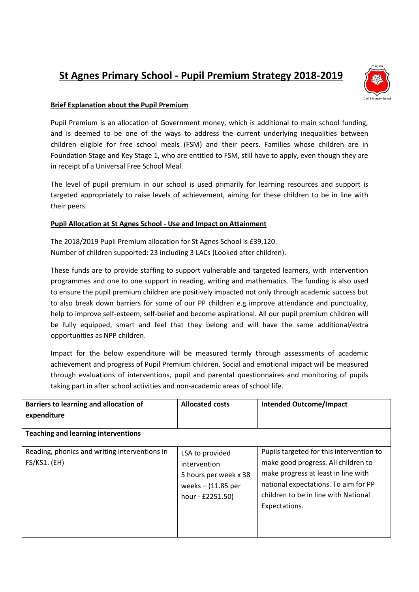## **St Agnes Primary School - Pupil Premium Strategy 2018-2019**



## **Brief Explanation about the Pupil Premium**

Pupil Premium is an allocation of Government money, which is additional to main school funding, and is deemed to be one of the ways to address the current underlying inequalities between children eligible for free school meals (FSM) and their peers. Families whose children are in Foundation Stage and Key Stage 1, who are entitled to FSM, still have to apply, even though they are in receipt of a Universal Free School Meal.

The level of pupil premium in our school is used primarily for learning resources and support is targeted appropriately to raise levels of achievement, aiming for these children to be in line with their peers.

## **Pupil Allocation at St Agnes School - Use and Impact on Attainment**

The 2018/2019 Pupil Premium allocation for St Agnes School is £39,120. Number of children supported: 23 including 3 LACs (Looked after children).

These funds are to provide staffing to support vulnerable and targeted learners, with intervention programmes and one to one support in reading, writing and mathematics. The funding is also used to ensure the pupil premium children are positively impacted not only through academic success but to also break down barriers for some of our PP children e.g improve attendance and punctuality, help to improve self-esteem, self-belief and become aspirational. All our pupil premium children will be fully equipped, smart and feel that they belong and will have the same additional/extra opportunities as NPP children.

Impact for the below expenditure will be measured termly through assessments of academic achievement and progress of Pupil Premium children. Social and emotional impact will be measured through evaluations of interventions, pupil and parental questionnaires and monitoring of pupils taking part in after school activities and non-academic areas of school life.

| Barriers to learning and allocation of<br>expenditure<br><b>Teaching and learning interventions</b> | <b>Allocated costs</b>                                                                               | <b>Intended Outcome/Impact</b>                                                                                                                                                                                          |
|-----------------------------------------------------------------------------------------------------|------------------------------------------------------------------------------------------------------|-------------------------------------------------------------------------------------------------------------------------------------------------------------------------------------------------------------------------|
| Reading, phonics and writing interventions in<br>$FS/KS1.$ (EH)                                     | LSA to provided<br>intervention<br>5 hours per week x 38<br>weeks $-$ (11.85 per<br>hour - £2251.50) | Pupils targeted for this intervention to<br>make good progress. All children to<br>make progress at least in line with<br>national expectations. To aim for PP<br>children to be in line with National<br>Expectations. |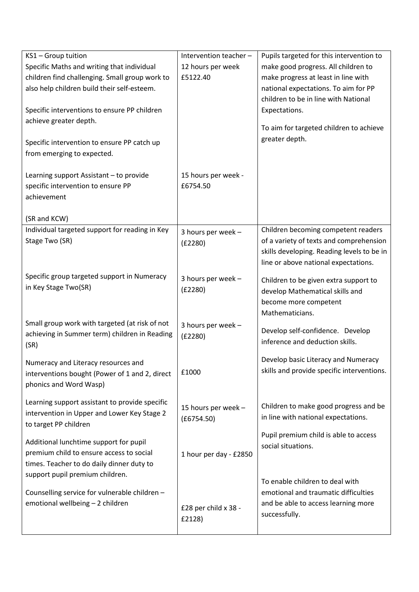| KS1-Group tuition<br>Specific Maths and writing that individual<br>children find challenging. Small group work to<br>also help children build their self-esteem.<br>Specific interventions to ensure PP children<br>achieve greater depth.<br>Specific intervention to ensure PP catch up<br>from emerging to expected. | Intervention teacher -<br>12 hours per week<br>£5122.40 | Pupils targeted for this intervention to<br>make good progress. All children to<br>make progress at least in line with<br>national expectations. To aim for PP<br>children to be in line with National<br>Expectations.<br>To aim for targeted children to achieve<br>greater depth. |
|-------------------------------------------------------------------------------------------------------------------------------------------------------------------------------------------------------------------------------------------------------------------------------------------------------------------------|---------------------------------------------------------|--------------------------------------------------------------------------------------------------------------------------------------------------------------------------------------------------------------------------------------------------------------------------------------|
| Learning support Assistant - to provide<br>specific intervention to ensure PP<br>achievement                                                                                                                                                                                                                            | 15 hours per week -<br>£6754.50                         |                                                                                                                                                                                                                                                                                      |
| (SR and KCW)                                                                                                                                                                                                                                                                                                            |                                                         |                                                                                                                                                                                                                                                                                      |
| Individual targeted support for reading in Key<br>Stage Two (SR)                                                                                                                                                                                                                                                        | 3 hours per week -<br>(E2280)                           | Children becoming competent readers<br>of a variety of texts and comprehension<br>skills developing. Reading levels to be in<br>line or above national expectations.                                                                                                                 |
| Specific group targeted support in Numeracy<br>in Key Stage Two(SR)                                                                                                                                                                                                                                                     | 3 hours per week -<br>(E2280)                           | Children to be given extra support to<br>develop Mathematical skills and<br>become more competent<br>Mathematicians.                                                                                                                                                                 |
| Small group work with targeted (at risk of not<br>achieving in Summer term) children in Reading<br>(SR)                                                                                                                                                                                                                 | 3 hours per week -<br>(E2280)                           | Develop self-confidence. Develop<br>inference and deduction skills.                                                                                                                                                                                                                  |
| Numeracy and Literacy resources and<br>interventions bought (Power of 1 and 2, direct<br>phonics and Word Wasp)                                                                                                                                                                                                         | £1000                                                   | Develop basic Literacy and Numeracy<br>skills and provide specific interventions.                                                                                                                                                                                                    |
| Learning support assistant to provide specific<br>intervention in Upper and Lower Key Stage 2<br>to target PP children                                                                                                                                                                                                  | 15 hours per week -<br>(E6754.50)                       | Children to make good progress and be<br>in line with national expectations.                                                                                                                                                                                                         |
| Additional lunchtime support for pupil<br>premium child to ensure access to social<br>times. Teacher to do daily dinner duty to<br>support pupil premium children.                                                                                                                                                      | 1 hour per day - £2850                                  | Pupil premium child is able to access<br>social situations.                                                                                                                                                                                                                          |
| Counselling service for vulnerable children -<br>emotional wellbeing - 2 children                                                                                                                                                                                                                                       | £28 per child x 38 -<br>£2128)                          | To enable children to deal with<br>emotional and traumatic difficulties<br>and be able to access learning more<br>successfully.                                                                                                                                                      |